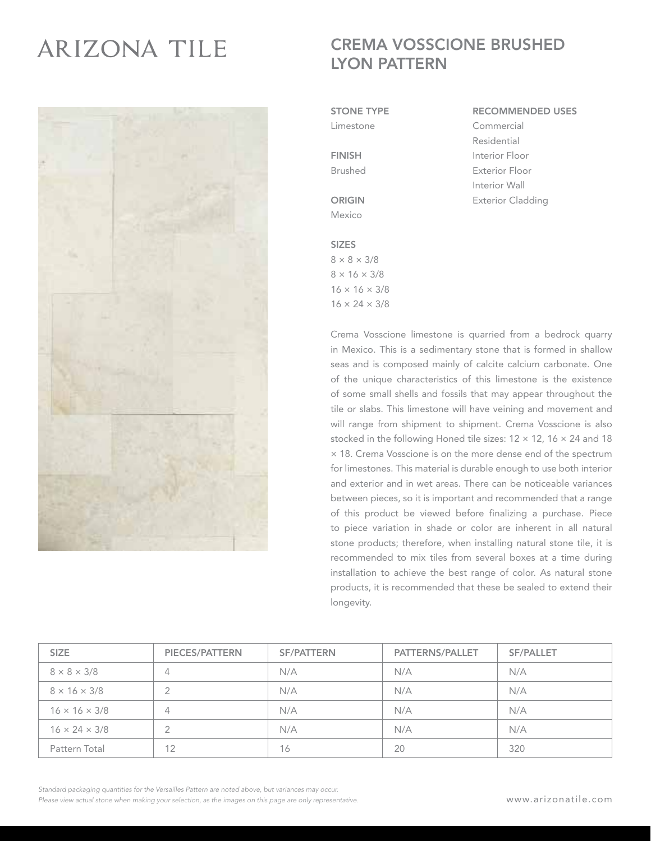## **ARIZONA TILE**



## CREMA VOSSCIONE BRUSHED LYON PATTERN

STONE TYPE

Limestone

FINISH Brushed

ORIGIN Mexico

## SIZES  $8 \times 8 \times 3/8$  $8 \times 16 \times 3/8$  $16 \times 16 \times 3/8$

 $16 \times 24 \times 3/8$ 

RECOMMENDED USES Commercial Residential Interior Floor Exterior Floor Interior Wall

Exterior Cladding

Crema Vosscione limestone is quarried from a bedrock quarry in Mexico. This is a sedimentary stone that is formed in shallow seas and is composed mainly of calcite calcium carbonate. One of the unique characteristics of this limestone is the existence of some small shells and fossils that may appear throughout the tile or slabs. This limestone will have veining and movement and will range from shipment to shipment. Crema Vosscione is also stocked in the following Honed tile sizes: 12 × 12, 16 × 24 and 18 × 18. Crema Vosscione is on the more dense end of the spectrum for limestones. This material is durable enough to use both interior and exterior and in wet areas. There can be noticeable variances between pieces, so it is important and recommended that a range of this product be viewed before finalizing a purchase. Piece to piece variation in shade or color are inherent in all natural stone products; therefore, when installing natural stone tile, it is recommended to mix tiles from several boxes at a time during installation to achieve the best range of color. As natural stone products, it is recommended that these be sealed to extend their longevity.

| <b>SIZE</b>               | <b>PIECES/PATTERN</b> | <b>SF/PATTERN</b> | <b>PATTERNS/PALLET</b> | <b>SF/PALLET</b> |
|---------------------------|-----------------------|-------------------|------------------------|------------------|
| $8 \times 8 \times 3/8$   | $\overline{4}$        | N/A               | N/A                    | N/A              |
| $8 \times 16 \times 3/8$  | $\overline{2}$        | N/A               | N/A                    | N/A              |
| $16 \times 16 \times 3/8$ | $\overline{4}$        | N/A               | N/A                    | N/A              |
| $16 \times 24 \times 3/8$ |                       | N/A               | N/A                    | N/A              |
| Pattern Total             | 12                    | 16                | 20                     | 320              |

*Standard packaging quantities for the Versailles Pattern are noted above, but variances may occur. Please view actual stone when making your selection, as the images on this page are only representative.*